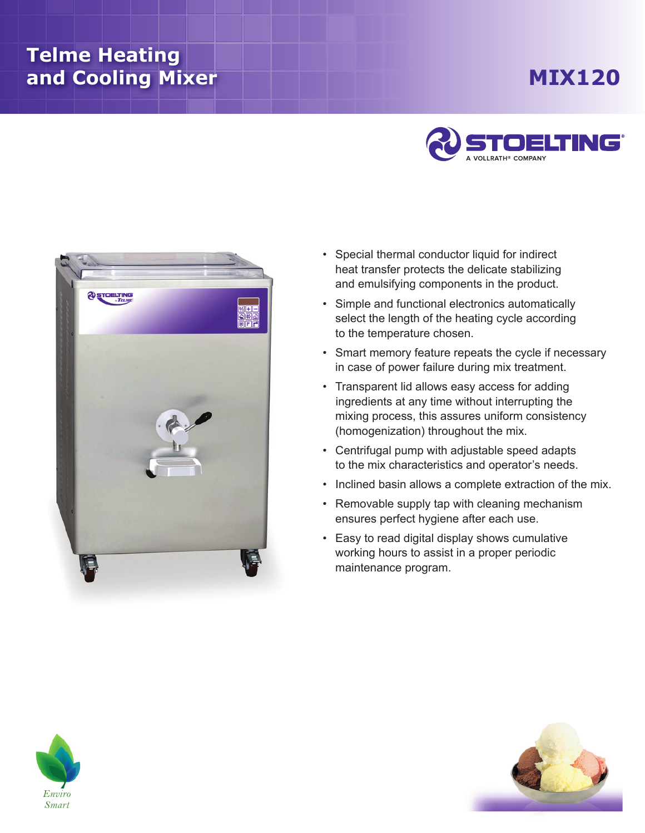## **Telme Heating and Cooling Mixer**

## **Mix120**





- Special thermal conductor liquid for indirect heat transfer protects the delicate stabilizing and emulsifying components in the product.
- Simple and functional electronics automatically select the length of the heating cycle according to the temperature chosen.
- Smart memory feature repeats the cycle if necessary in case of power failure during mix treatment.
- Transparent lid allows easy access for adding ingredients at any time without interrupting the mixing process, this assures uniform consistency (homogenization) throughout the mix.
- Centrifugal pump with adjustable speed adapts to the mix characteristics and operator's needs.
- Inclined basin allows a complete extraction of the mix.
- Removable supply tap with cleaning mechanism ensures perfect hygiene after each use.
- Easy to read digital display shows cumulative working hours to assist in a proper periodic maintenance program.